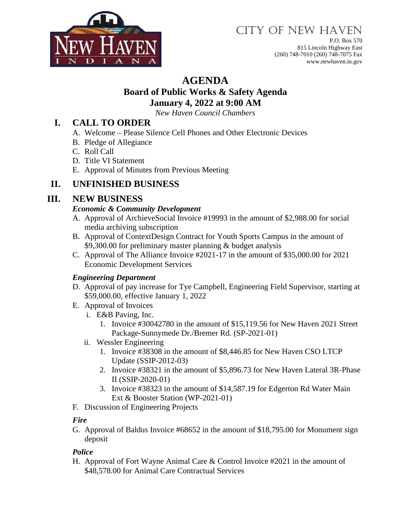

# CITY OF NEW HAVEN

P.O. Box 570 815 Lincoln Highway East (260) 748-7010 (260) 748-7075 Fax www.newhaven.in.gov

## **AGENDA**

#### **Board of Public Works & Safety Agenda January 4, 2022 at 9:00 AM**

*New Haven Council Chambers*

## **I. CALL TO ORDER**

- A. Welcome Please Silence Cell Phones and Other Electronic Devices
- B. Pledge of Allegiance
- C. Roll Call
- D. Title VI Statement
- E. Approval of Minutes from Previous Meeting

## **II. UNFINISHED BUSINESS**

## **III. NEW BUSINESS**

#### *Economic & Community Development*

- A. Approval of ArchieveSocial Invoice #19993 in the amount of \$2,988.00 for social media archiving subscription
- B. Approval of ContextDesign Contract for Youth Sports Campus in the amount of \$9,300.00 for preliminary master planning & budget analysis
- C. Approval of The Alliance Invoice #2021-17 in the amount of \$35,000.00 for 2021 Economic Development Services

#### *Engineering Department*

- D. Approval of pay increase for Tye Campbell, Engineering Field Supervisor, starting at \$59,000.00, effective January 1, 2022
- E. Approval of Invoices
	- i. E&B Paving, Inc.
		- 1. Invoice #30042780 in the amount of \$15,119.56 for New Haven 2021 Street Package-Sunnymede Dr./Bremer Rd. (SP-2021-01)
	- ii. Wessler Engineering
		- 1. Invoice #38308 in the amount of \$8,446.85 for New Haven CSO LTCP Update (SSIP-2012-03)
		- 2. Invoice #38321 in the amount of \$5,896.73 for New Haven Lateral 3R-Phase II (SSIP-2020-01)
		- 3. Invoice #38323 in the amount of \$14,587.19 for Edgerton Rd Water Main Ext & Booster Station (WP-2021-01)
- F. Discussion of Engineering Projects

#### *Fire*

G. Approval of Baldus Invoice #68652 in the amount of \$18,795.00 for Monument sign deposit

#### *Police*

H. Approval of Fort Wayne Animal Care & Control Invoice #2021 in the amount of \$48,578.00 for Animal Care Contractual Services